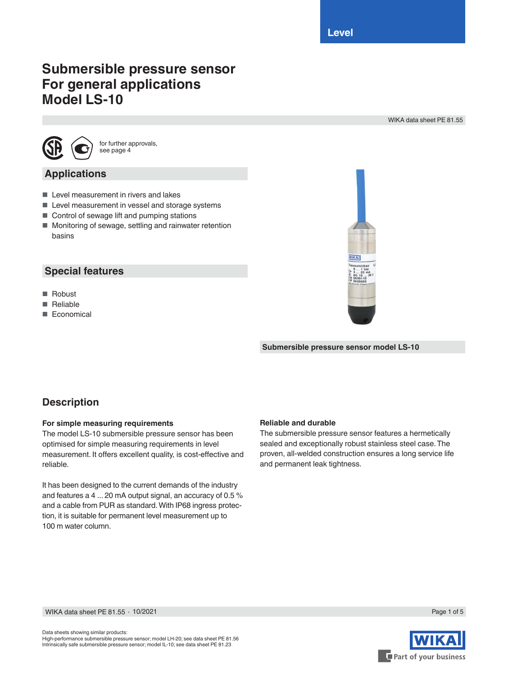**Level**

# **Submersible pressure sensor For general applications Model LS-10**

WIKA data sheet PE 81.55



for further approvals, see page 4

### **Applications**

- Level measurement in rivers and lakes
- Level measurement in vessel and storage systems
- Control of sewage lift and pumping stations
- Monitoring of sewage, settling and rainwater retention basins

### **Special features**

- Robust
- Reliable
- Economical



**Submersible pressure sensor model LS-10**

### **Description**

#### **For simple measuring requirements**

The model LS-10 submersible pressure sensor has been optimised for simple measuring requirements in level measurement. It offers excellent quality, is cost-effective and reliable.

It has been designed to the current demands of the industry and features a 4 ... 20 mA output signal, an accuracy of 0.5 % and a cable from PUR as standard. With IP68 ingress protection, it is suitable for permanent level measurement up to 100 m water column.

#### **Reliable and durable**

The submersible pressure sensor features a hermetically sealed and exceptionally robust stainless steel case. The proven, all-welded construction ensures a long service life and permanent leak tightness.



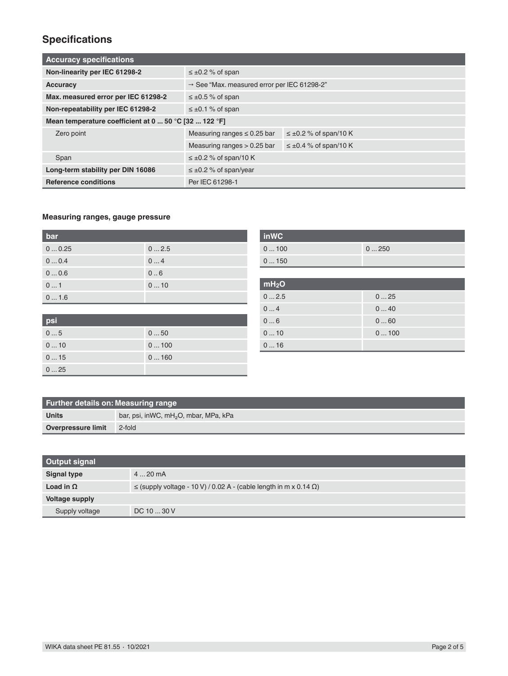## **Specifications**

| <b>Accuracy specifications</b>                        |                                                         |                               |  |  |
|-------------------------------------------------------|---------------------------------------------------------|-------------------------------|--|--|
| Non-linearity per IEC 61298-2                         | $\leq \pm 0.2$ % of span                                |                               |  |  |
| <b>Accuracy</b>                                       | $\rightarrow$ See "Max. measured error per IEC 61298-2" |                               |  |  |
| Max. measured error per IEC 61298-2                   | $\leq \pm 0.5$ % of span                                |                               |  |  |
| Non-repeatability per IEC 61298-2                     | $\leq \pm 0.1$ % of span                                |                               |  |  |
| Mean temperature coefficient at 0  50 °C [32  122 °F] |                                                         |                               |  |  |
| Zero point                                            | Measuring ranges $\leq 0.25$ bar                        | $\leq \pm 0.2$ % of span/10 K |  |  |
|                                                       | Measuring ranges $> 0.25$ bar                           | $\leq \pm 0.4$ % of span/10 K |  |  |
| Span                                                  | $\leq \pm 0.2$ % of span/10 K                           |                               |  |  |
| Long-term stability per DIN 16086                     | $\leq \pm 0.2$ % of span/year                           |                               |  |  |
| <b>Reference conditions</b>                           | Per IEC 61298-1                                         |                               |  |  |

#### **Measuring ranges, gauge pressure**

| bar   |      |
|-------|------|
| 00.25 | 02.5 |
| 00.4  | 04   |
| 00.6  | 0.6  |
| 01    | 010  |
| 01.6  |      |

| psi |      |
|-----|------|
| 05  | 050  |
| 010 | 0100 |
| 015 | 0160 |
| 025 |      |

| <b>inWC</b> |      |
|-------------|------|
| 0100        | 0250 |
| 0150        |      |
|             |      |

| mH <sub>2</sub> O |      |
|-------------------|------|
| 02.5              | 025  |
| 04                | 040  |
| 06                | 060  |
| 010               | 0100 |
| 016               |      |

| Further details on: Measuring range |                                                   |  |  |  |
|-------------------------------------|---------------------------------------------------|--|--|--|
| <b>Units</b>                        | bar, psi, inWC, mH <sub>2</sub> O, mbar, MPa, kPa |  |  |  |
| Overpressure limit                  | 2-fold                                            |  |  |  |

| Output signal         |                                                                               |
|-----------------------|-------------------------------------------------------------------------------|
| <b>Signal type</b>    | $420$ mA                                                                      |
| Load in $\Omega$      | $\le$ (supply voltage - 10 V) / 0.02 A - (cable length in m x 0.14 $\Omega$ ) |
| <b>Voltage supply</b> |                                                                               |
| Supply voltage        | DC 10  30 V                                                                   |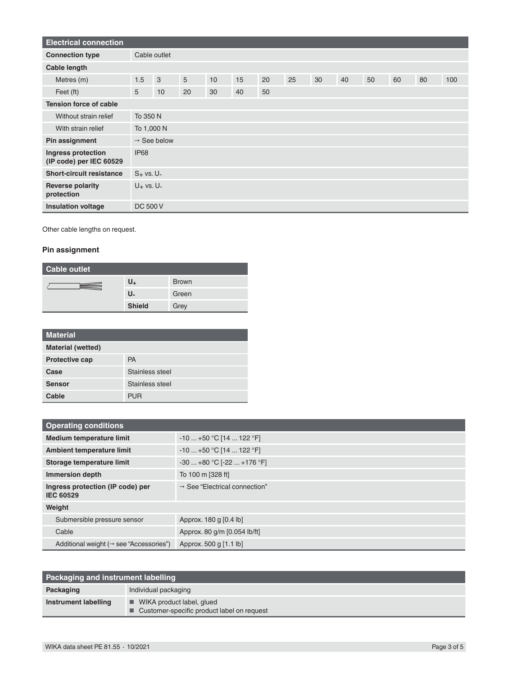| <b>Electrical connection</b>                  |                 |                         |    |    |    |    |    |    |    |    |    |    |     |
|-----------------------------------------------|-----------------|-------------------------|----|----|----|----|----|----|----|----|----|----|-----|
| <b>Connection type</b>                        |                 | Cable outlet            |    |    |    |    |    |    |    |    |    |    |     |
| Cable length                                  |                 |                         |    |    |    |    |    |    |    |    |    |    |     |
| Metres (m)                                    | 1.5             | 3                       | 5  | 10 | 15 | 20 | 25 | 30 | 40 | 50 | 60 | 80 | 100 |
| Feet (ft)                                     | 5               | 10                      | 20 | 30 | 40 | 50 |    |    |    |    |    |    |     |
| <b>Tension force of cable</b>                 |                 |                         |    |    |    |    |    |    |    |    |    |    |     |
| Without strain relief                         |                 | To 350 N                |    |    |    |    |    |    |    |    |    |    |     |
| With strain relief                            |                 | To 1,000 N              |    |    |    |    |    |    |    |    |    |    |     |
| Pin assignment                                |                 | $\rightarrow$ See below |    |    |    |    |    |    |    |    |    |    |     |
| Ingress protection<br>(IP code) per IEC 60529 | <b>IP68</b>     |                         |    |    |    |    |    |    |    |    |    |    |     |
| <b>Short-circuit resistance</b>               | $S_+$ vs. U-    |                         |    |    |    |    |    |    |    |    |    |    |     |
| <b>Reverse polarity</b><br>protection         | $U_+$ vs. $U_-$ |                         |    |    |    |    |    |    |    |    |    |    |     |
| <b>Insulation voltage</b>                     | <b>DC 500 V</b> |                         |    |    |    |    |    |    |    |    |    |    |     |

Other cable lengths on request.

#### **Pin assignment**

| Cable outlet |               |              |  |  |
|--------------|---------------|--------------|--|--|
|              | U+            | <b>Brown</b> |  |  |
|              | U.            | Green        |  |  |
|              | <b>Shield</b> | Grey         |  |  |

| <b>Material</b>          |                 |
|--------------------------|-----------------|
| <b>Material (wetted)</b> |                 |
| <b>Protective cap</b>    | <b>PA</b>       |
| Case                     | Stainless steel |
| <b>Sensor</b>            | Stainless steel |
| Cable                    | <b>PUR</b>      |

| <b>Operating conditions</b>                          |                                           |  |
|------------------------------------------------------|-------------------------------------------|--|
| <b>Medium temperature limit</b>                      | $-10+50$ °C [14  122 °F]                  |  |
| Ambient temperature limit                            | $-10+50$ °C [14  122 °F]                  |  |
| Storage temperature limit                            | $-30+80$ °C [ $-22+176$ °F]               |  |
| <b>Immersion depth</b>                               | To 100 m [328 ft]                         |  |
| Ingress protection (IP code) per<br>IEC 60529        | $\rightarrow$ See "Electrical connection" |  |
| Weight                                               |                                           |  |
| Submersible pressure sensor                          | Approx. 180 g [0.4 lb]                    |  |
| Cable                                                | Approx. 80 g/m [0.054 lb/ft]              |  |
| Additional weight ( $\rightarrow$ see "Accessories") | Approx. 500 g [1.1 lb]                    |  |

| <b>Packaging and instrument labelling</b> |                                                                                          |
|-------------------------------------------|------------------------------------------------------------------------------------------|
| Packaging                                 | Individual packaging                                                                     |
| Instrument labelling                      | $\blacksquare$ WIKA product label, glued<br>■ Customer-specific product label on request |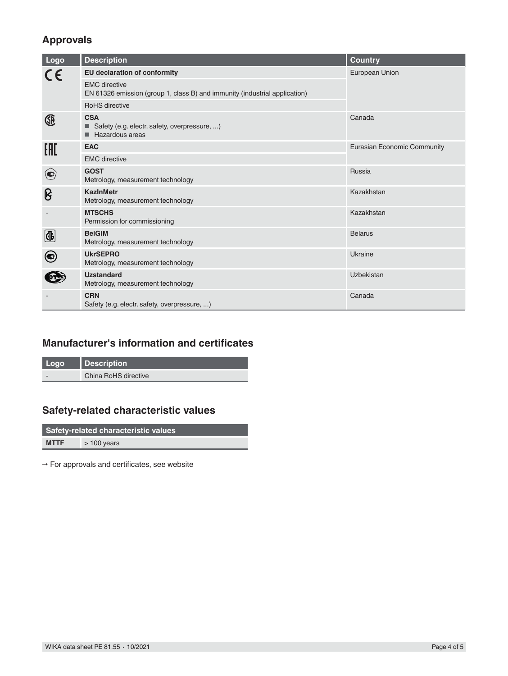### **Approvals**

| Logo          | <b>Description</b>                                                                                 | <b>Country</b>              |  |
|---------------|----------------------------------------------------------------------------------------------------|-----------------------------|--|
| CE            | EU declaration of conformity                                                                       | European Union              |  |
|               | <b>EMC</b> directive<br>EN 61326 emission (group 1, class B) and immunity (industrial application) |                             |  |
|               | <b>RoHS</b> directive                                                                              |                             |  |
| Œ             | <b>CSA</b><br>■ Safety (e.g. electr. safety, overpressure, )<br>Hazardous areas                    | Canada                      |  |
| EAC           | <b>EAC</b>                                                                                         | Eurasian Economic Community |  |
|               | <b>EMC</b> directive                                                                               |                             |  |
| $\bigodot$    | <b>GOST</b><br>Metrology, measurement technology                                                   | Russia                      |  |
| ၆             | <b>KazinMetr</b><br>Metrology, measurement technology                                              | Kazakhstan                  |  |
|               | <b>MTSCHS</b><br>Permission for commissioning                                                      | Kazakhstan                  |  |
| $\bigcirc$    | <b>BelGIM</b><br>Metrology, measurement technology                                                 | <b>Belarus</b>              |  |
| $\bm{\Theta}$ | <b>UkrSEPRO</b><br>Metrology, measurement technology                                               | Ukraine                     |  |
|               | <b>Uzstandard</b><br>Metrology, measurement technology                                             | Uzbekistan                  |  |
|               | <b>CRN</b><br>Safety (e.g. electr. safety, overpressure, )                                         | Canada                      |  |

## **Manufacturer's information and certificates**

| Logo | Description          |
|------|----------------------|
|      | China RoHS directive |

## **Safety-related characteristic values**

| <b>Safety-related characteristic values</b> |              |  |  |  |  |
|---------------------------------------------|--------------|--|--|--|--|
| <b>MTTF</b>                                 | $>100$ years |  |  |  |  |

**→** For approvals and certificates, see website